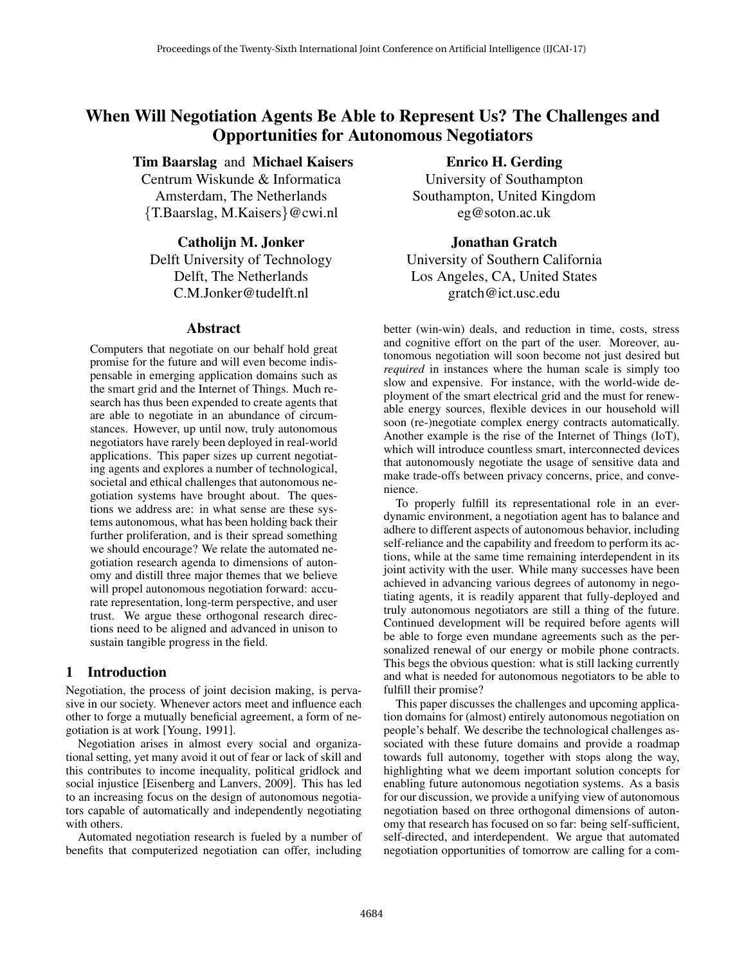# When Will Negotiation Agents Be Able to Represent Us? The Challenges and Opportunities for Autonomous Negotiators

## Tim Baarslag and Michael Kaisers

Centrum Wiskunde & Informatica Amsterdam, The Netherlands {T.Baarslag, M.Kaisers}@cwi.nl

## Catholijn M. Jonker Delft University of Technology Delft, The Netherlands C.M.Jonker@tudelft.nl

## Abstract

Computers that negotiate on our behalf hold great promise for the future and will even become indispensable in emerging application domains such as the smart grid and the Internet of Things. Much research has thus been expended to create agents that are able to negotiate in an abundance of circumstances. However, up until now, truly autonomous negotiators have rarely been deployed in real-world applications. This paper sizes up current negotiating agents and explores a number of technological, societal and ethical challenges that autonomous negotiation systems have brought about. The questions we address are: in what sense are these systems autonomous, what has been holding back their further proliferation, and is their spread something we should encourage? We relate the automated negotiation research agenda to dimensions of autonomy and distill three major themes that we believe will propel autonomous negotiation forward: accurate representation, long-term perspective, and user trust. We argue these orthogonal research directions need to be aligned and advanced in unison to sustain tangible progress in the field.

## 1 Introduction

Negotiation, the process of joint decision making, is pervasive in our society. Whenever actors meet and influence each other to forge a mutually beneficial agreement, a form of negotiation is at work [Young, 1991].

Negotiation arises in almost every social and organizational setting, yet many avoid it out of fear or lack of skill and this contributes to income inequality, political gridlock and social injustice [Eisenberg and Lanvers, 2009]. This has led to an increasing focus on the design of autonomous negotiators capable of automatically and independently negotiating with others.

Automated negotiation research is fueled by a number of benefits that computerized negotiation can offer, including

Enrico H. Gerding University of Southampton

Southampton, United Kingdom eg@soton.ac.uk

Jonathan Gratch University of Southern California Los Angeles, CA, United States gratch@ict.usc.edu

better (win-win) deals, and reduction in time, costs, stress and cognitive effort on the part of the user. Moreover, autonomous negotiation will soon become not just desired but *required* in instances where the human scale is simply too slow and expensive. For instance, with the world-wide deployment of the smart electrical grid and the must for renewable energy sources, flexible devices in our household will soon (re-)negotiate complex energy contracts automatically. Another example is the rise of the Internet of Things (IoT), which will introduce countless smart, interconnected devices that autonomously negotiate the usage of sensitive data and make trade-offs between privacy concerns, price, and convenience.

To properly fulfill its representational role in an everdynamic environment, a negotiation agent has to balance and adhere to different aspects of autonomous behavior, including self-reliance and the capability and freedom to perform its actions, while at the same time remaining interdependent in its joint activity with the user. While many successes have been achieved in advancing various degrees of autonomy in negotiating agents, it is readily apparent that fully-deployed and truly autonomous negotiators are still a thing of the future. Continued development will be required before agents will be able to forge even mundane agreements such as the personalized renewal of our energy or mobile phone contracts. This begs the obvious question: what is still lacking currently and what is needed for autonomous negotiators to be able to fulfill their promise?

This paper discusses the challenges and upcoming application domains for (almost) entirely autonomous negotiation on people's behalf. We describe the technological challenges associated with these future domains and provide a roadmap towards full autonomy, together with stops along the way, highlighting what we deem important solution concepts for enabling future autonomous negotiation systems. As a basis for our discussion, we provide a unifying view of autonomous negotiation based on three orthogonal dimensions of autonomy that research has focused on so far: being self-sufficient, self-directed, and interdependent. We argue that automated negotiation opportunities of tomorrow are calling for a com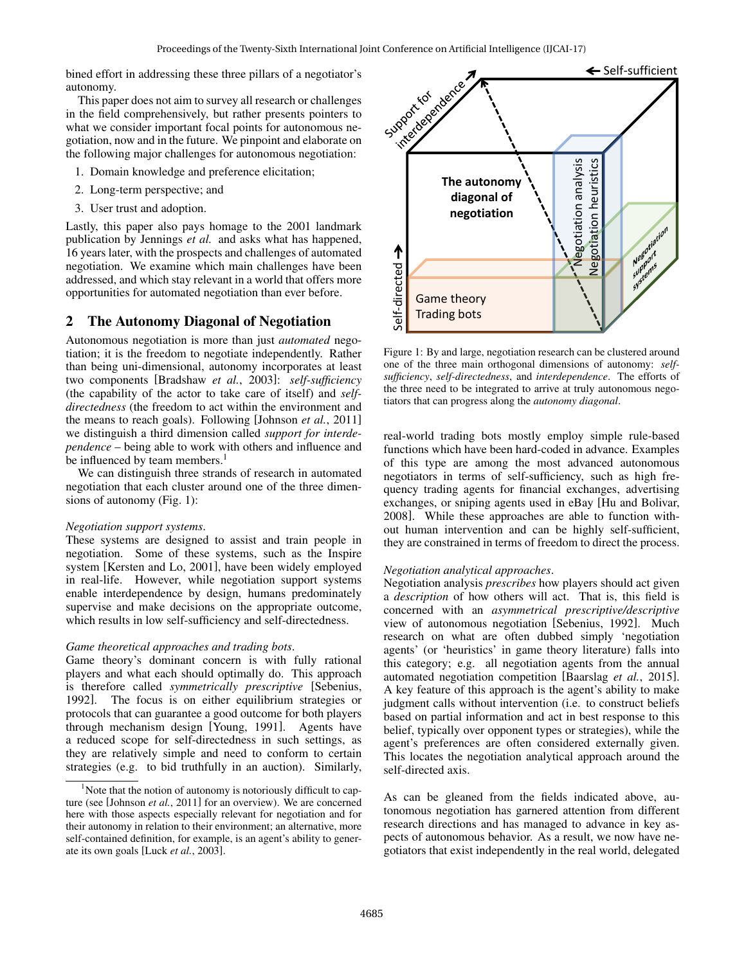bined effort in addressing these three pillars of a negotiator's autonomy.

This paper does not aim to survey all research or challenges in the field comprehensively, but rather presents pointers to what we consider important focal points for autonomous negotiation, now and in the future. We pinpoint and elaborate on the following major challenges for autonomous negotiation:

- 1. Domain knowledge and preference elicitation;
- 2. Long-term perspective; and
- 3. User trust and adoption.

Lastly, this paper also pays homage to the 2001 landmark publication by Jennings *et al.* and asks what has happened, 16 years later, with the prospects and challenges of automated negotiation. We examine which main challenges have been addressed, and which stay relevant in a world that offers more opportunities for automated negotiation than ever before.

## 2 The Autonomy Diagonal of Negotiation

Autonomous negotiation is more than just *automated* negotiation; it is the freedom to negotiate independently. Rather than being uni-dimensional, autonomy incorporates at least two components [Bradshaw *et al.*, 2003]: *self-sufficiency* (the capability of the actor to take care of itself) and *selfdirectedness* (the freedom to act within the environment and the means to reach goals). Following [Johnson *et al.*, 2011] we distinguish a third dimension called *support for interdependence* – being able to work with others and influence and be influenced by team members. $<sup>1</sup>$ </sup>

We can distinguish three strands of research in automated negotiation that each cluster around one of the three dimensions of autonomy (Fig. 1):

#### *Negotiation support systems*.

These systems are designed to assist and train people in negotiation. Some of these systems, such as the Inspire system [Kersten and Lo, 2001], have been widely employed in real-life. However, while negotiation support systems enable interdependence by design, humans predominately supervise and make decisions on the appropriate outcome, which results in low self-sufficiency and self-directedness.

#### *Game theoretical approaches and trading bots*.

Game theory's dominant concern is with fully rational players and what each should optimally do. This approach is therefore called *symmetrically prescriptive* [Sebenius, 1992]. The focus is on either equilibrium strategies or protocols that can guarantee a good outcome for both players through mechanism design [Young, 1991]. Agents have a reduced scope for self-directedness in such settings, as they are relatively simple and need to conform to certain strategies (e.g. to bid truthfully in an auction). Similarly,



Figure 1: By and large, negotiation research can be clustered around one of the three main orthogonal dimensions of autonomy: *selfsufficiency*, *self-directedness*, and *interdependence*. The efforts of the three need to be integrated to arrive at truly autonomous negotiators that can progress along the *autonomy diagonal*.

real-world trading bots mostly employ simple rule-based functions which have been hard-coded in advance. Examples of this type are among the most advanced autonomous negotiators in terms of self-sufficiency, such as high frequency trading agents for financial exchanges, advertising exchanges, or sniping agents used in eBay [Hu and Bolivar, 2008]. While these approaches are able to function without human intervention and can be highly self-sufficient, they are constrained in terms of freedom to direct the process.

### *Negotiation analytical approaches*.

Negotiation analysis *prescribes* how players should act given a *description* of how others will act. That is, this field is concerned with an *asymmetrical prescriptive/descriptive* view of autonomous negotiation [Sebenius, 1992]. Much research on what are often dubbed simply 'negotiation agents' (or 'heuristics' in game theory literature) falls into this category; e.g. all negotiation agents from the annual automated negotiation competition [Baarslag *et al.*, 2015]. A key feature of this approach is the agent's ability to make judgment calls without intervention (i.e. to construct beliefs based on partial information and act in best response to this belief, typically over opponent types or strategies), while the agent's preferences are often considered externally given. This locates the negotiation analytical approach around the self-directed axis.

As can be gleaned from the fields indicated above, autonomous negotiation has garnered attention from different research directions and has managed to advance in key aspects of autonomous behavior. As a result, we now have negotiators that exist independently in the real world, delegated

 $1$ Note that the notion of autonomy is notoriously difficult to capture (see [Johnson *et al.*, 2011] for an overview). We are concerned here with those aspects especially relevant for negotiation and for their autonomy in relation to their environment; an alternative, more self-contained definition, for example, is an agent's ability to generate its own goals [Luck *et al.*, 2003].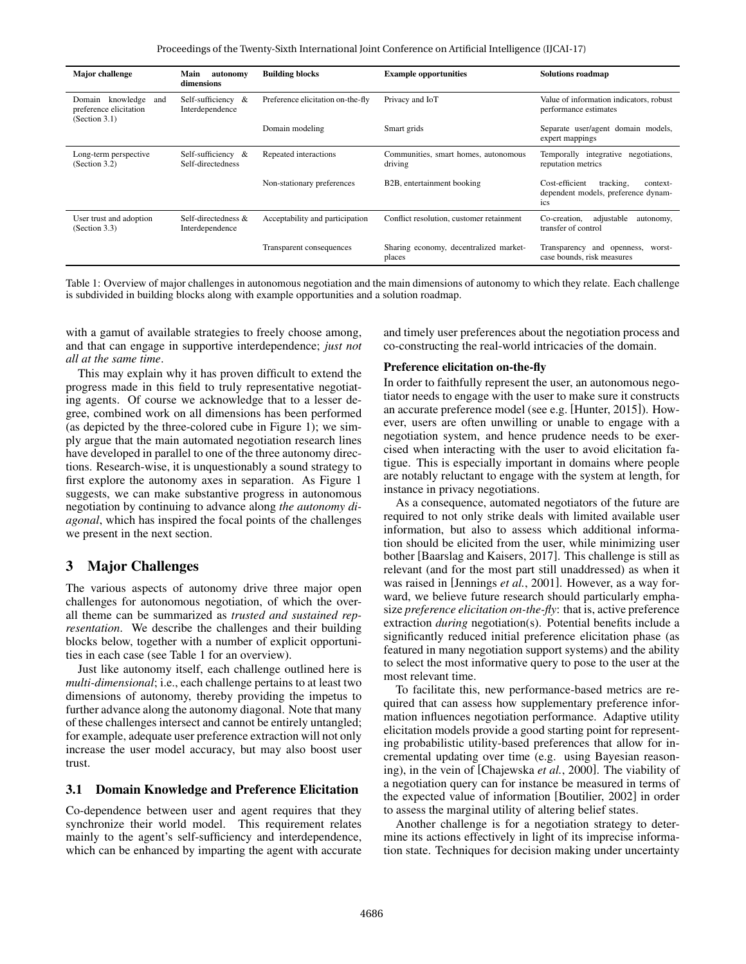Proceedings of the Twenty-Sixth International Joint Conference on Artificial Intelligence (IJCAI-17)

| <b>Major</b> challenge                                                | Main<br>autonomy<br>dimensions          | <b>Building blocks</b>            | <b>Example opportunities</b>                     | <b>Solutions roadmap</b>                                                              |
|-----------------------------------------------------------------------|-----------------------------------------|-----------------------------------|--------------------------------------------------|---------------------------------------------------------------------------------------|
| knowledge<br>Domain<br>and<br>preference elicitation<br>(Section 3.1) | Self-sufficiency &<br>Interdependence   | Preference elicitation on-the-fly | Privacy and IoT                                  | Value of information indicators, robust<br>performance estimates                      |
|                                                                       |                                         | Domain modeling                   | Smart grids                                      | Separate user/agent domain models,<br>expert mappings                                 |
| Long-term perspective<br>(Section 3.2)                                | Self-sufficiency &<br>Self-directedness | Repeated interactions             | Communities, smart homes, autonomous<br>driving  | Temporally integrative<br>negotiations,<br>reputation metrics                         |
|                                                                       |                                         | Non-stationary preferences        | B <sub>2</sub> B, entertainment booking          | Cost-efficient<br>tracking.<br>context-<br>dependent models, preference dynam-<br>ics |
| User trust and adoption<br>(Section 3.3)                              | Self-directedness &<br>Interdependence  | Acceptability and participation   | Conflict resolution, customer retainment         | adjustable<br>Co-creation,<br>autonomy,<br>transfer of control                        |
|                                                                       |                                         | Transparent consequences          | Sharing economy, decentralized market-<br>places | Transparency and openness,<br>worst-<br>case bounds, risk measures                    |

Table 1: Overview of major challenges in autonomous negotiation and the main dimensions of autonomy to which they relate. Each challenge is subdivided in building blocks along with example opportunities and a solution roadmap.

with a gamut of available strategies to freely choose among, and that can engage in supportive interdependence; *just not all at the same time*.

This may explain why it has proven difficult to extend the progress made in this field to truly representative negotiating agents. Of course we acknowledge that to a lesser degree, combined work on all dimensions has been performed (as depicted by the three-colored cube in Figure 1); we simply argue that the main automated negotiation research lines have developed in parallel to one of the three autonomy directions. Research-wise, it is unquestionably a sound strategy to first explore the autonomy axes in separation. As Figure 1 suggests, we can make substantive progress in autonomous negotiation by continuing to advance along *the autonomy diagonal*, which has inspired the focal points of the challenges we present in the next section.

## 3 Major Challenges

The various aspects of autonomy drive three major open challenges for autonomous negotiation, of which the overall theme can be summarized as *trusted and sustained representation*. We describe the challenges and their building blocks below, together with a number of explicit opportunities in each case (see Table 1 for an overview).

Just like autonomy itself, each challenge outlined here is *multi-dimensional*; i.e., each challenge pertains to at least two dimensions of autonomy, thereby providing the impetus to further advance along the autonomy diagonal. Note that many of these challenges intersect and cannot be entirely untangled; for example, adequate user preference extraction will not only increase the user model accuracy, but may also boost user trust.

## 3.1 Domain Knowledge and Preference Elicitation

Co-dependence between user and agent requires that they synchronize their world model. This requirement relates mainly to the agent's self-sufficiency and interdependence, which can be enhanced by imparting the agent with accurate and timely user preferences about the negotiation process and co-constructing the real-world intricacies of the domain.

### Preference elicitation on-the-fly

In order to faithfully represent the user, an autonomous negotiator needs to engage with the user to make sure it constructs an accurate preference model (see e.g. [Hunter, 2015]). However, users are often unwilling or unable to engage with a negotiation system, and hence prudence needs to be exercised when interacting with the user to avoid elicitation fatigue. This is especially important in domains where people are notably reluctant to engage with the system at length, for instance in privacy negotiations.

As a consequence, automated negotiators of the future are required to not only strike deals with limited available user information, but also to assess which additional information should be elicited from the user, while minimizing user bother [Baarslag and Kaisers, 2017]. This challenge is still as relevant (and for the most part still unaddressed) as when it was raised in [Jennings *et al.*, 2001]. However, as a way forward, we believe future research should particularly emphasize *preference elicitation on-the-fly*: that is, active preference extraction *during* negotiation(s). Potential benefits include a significantly reduced initial preference elicitation phase (as featured in many negotiation support systems) and the ability to select the most informative query to pose to the user at the most relevant time.

To facilitate this, new performance-based metrics are required that can assess how supplementary preference information influences negotiation performance. Adaptive utility elicitation models provide a good starting point for representing probabilistic utility-based preferences that allow for incremental updating over time (e.g. using Bayesian reasoning), in the vein of [Chajewska *et al.*, 2000]. The viability of a negotiation query can for instance be measured in terms of the expected value of information [Boutilier, 2002] in order to assess the marginal utility of altering belief states.

Another challenge is for a negotiation strategy to determine its actions effectively in light of its imprecise information state. Techniques for decision making under uncertainty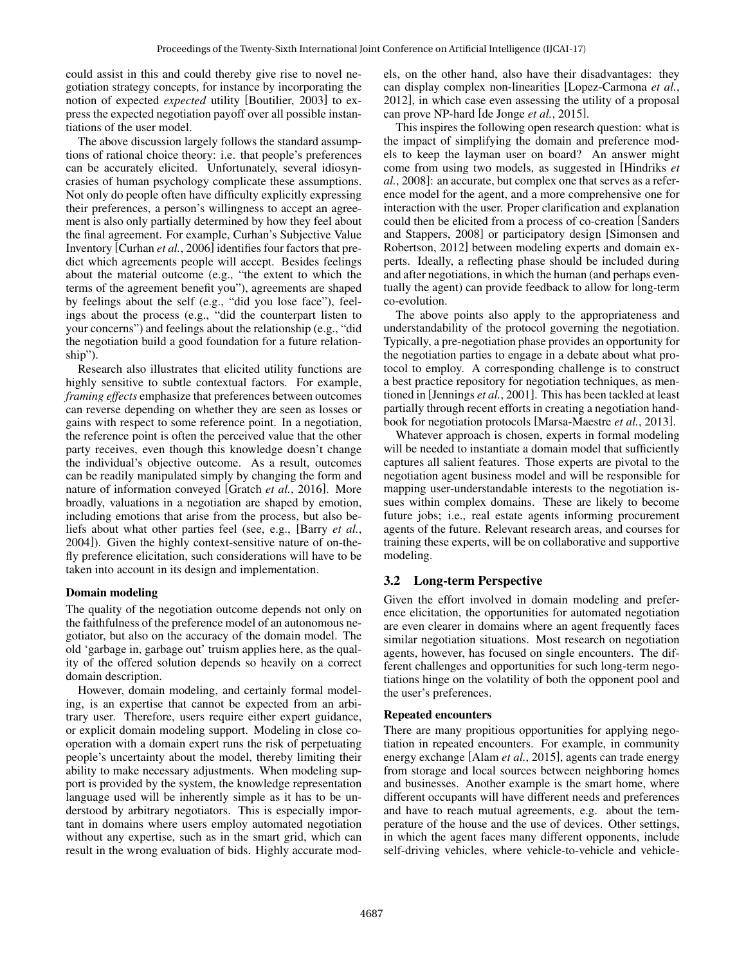could assist in this and could thereby give rise to novel negotiation strategy concepts, for instance by incorporating the notion of expected *expected* utility [Boutilier, 2003] to express the expected negotiation payoff over all possible instantiations of the user model.

The above discussion largely follows the standard assumptions of rational choice theory: i.e. that people's preferences can be accurately elicited. Unfortunately, several idiosyncrasies of human psychology complicate these assumptions. Not only do people often have difficulty explicitly expressing their preferences, a person's willingness to accept an agreement is also only partially determined by how they feel about the final agreement. For example, Curhan's Subjective Value Inventory [Curhan *et al.*, 2006] identifies four factors that predict which agreements people will accept. Besides feelings about the material outcome (e.g., "the extent to which the terms of the agreement benefit you"), agreements are shaped by feelings about the self (e.g., "did you lose face"), feelings about the process (e.g., "did the counterpart listen to your concerns") and feelings about the relationship (e.g., "did the negotiation build a good foundation for a future relationship").

Research also illustrates that elicited utility functions are highly sensitive to subtle contextual factors. For example, *framing effects* emphasize that preferences between outcomes can reverse depending on whether they are seen as losses or gains with respect to some reference point. In a negotiation, the reference point is often the perceived value that the other party receives, even though this knowledge doesn't change the individual's objective outcome. As a result, outcomes can be readily manipulated simply by changing the form and nature of information conveyed [Gratch *et al.*, 2016]. More broadly, valuations in a negotiation are shaped by emotion, including emotions that arise from the process, but also beliefs about what other parties feel (see, e.g., [Barry *et al.*, 2004]). Given the highly context-sensitive nature of on-thefly preference elicitation, such considerations will have to be taken into account in its design and implementation.

## Domain modeling

The quality of the negotiation outcome depends not only on the faithfulness of the preference model of an autonomous negotiator, but also on the accuracy of the domain model. The old 'garbage in, garbage out' truism applies here, as the quality of the offered solution depends so heavily on a correct domain description.

However, domain modeling, and certainly formal modeling, is an expertise that cannot be expected from an arbitrary user. Therefore, users require either expert guidance, or explicit domain modeling support. Modeling in close cooperation with a domain expert runs the risk of perpetuating people's uncertainty about the model, thereby limiting their ability to make necessary adjustments. When modeling support is provided by the system, the knowledge representation language used will be inherently simple as it has to be understood by arbitrary negotiators. This is especially important in domains where users employ automated negotiation without any expertise, such as in the smart grid, which can result in the wrong evaluation of bids. Highly accurate models, on the other hand, also have their disadvantages: they can display complex non-linearities [Lopez-Carmona *et al.*, 2012], in which case even assessing the utility of a proposal can prove NP-hard [de Jonge *et al.*, 2015].

This inspires the following open research question: what is the impact of simplifying the domain and preference models to keep the layman user on board? An answer might come from using two models, as suggested in [Hindriks *et al.*, 2008]: an accurate, but complex one that serves as a reference model for the agent, and a more comprehensive one for interaction with the user. Proper clarification and explanation could then be elicited from a process of co-creation [Sanders and Stappers, 2008] or participatory design [Simonsen and Robertson, 2012] between modeling experts and domain experts. Ideally, a reflecting phase should be included during and after negotiations, in which the human (and perhaps eventually the agent) can provide feedback to allow for long-term co-evolution.

The above points also apply to the appropriateness and understandability of the protocol governing the negotiation. Typically, a pre-negotiation phase provides an opportunity for the negotiation parties to engage in a debate about what protocol to employ. A corresponding challenge is to construct a best practice repository for negotiation techniques, as mentioned in [Jennings *et al.*, 2001]. This has been tackled at least partially through recent efforts in creating a negotiation handbook for negotiation protocols [Marsa-Maestre *et al.*, 2013].

Whatever approach is chosen, experts in formal modeling will be needed to instantiate a domain model that sufficiently captures all salient features. Those experts are pivotal to the negotiation agent business model and will be responsible for mapping user-understandable interests to the negotiation issues within complex domains. These are likely to become future jobs; i.e., real estate agents informing procurement agents of the future. Relevant research areas, and courses for training these experts, will be on collaborative and supportive modeling.

## 3.2 Long-term Perspective

Given the effort involved in domain modeling and preference elicitation, the opportunities for automated negotiation are even clearer in domains where an agent frequently faces similar negotiation situations. Most research on negotiation agents, however, has focused on single encounters. The different challenges and opportunities for such long-term negotiations hinge on the volatility of both the opponent pool and the user's preferences.

### Repeated encounters

There are many propitious opportunities for applying negotiation in repeated encounters. For example, in community energy exchange [Alam *et al.*, 2015], agents can trade energy from storage and local sources between neighboring homes and businesses. Another example is the smart home, where different occupants will have different needs and preferences and have to reach mutual agreements, e.g. about the temperature of the house and the use of devices. Other settings, in which the agent faces many different opponents, include self-driving vehicles, where vehicle-to-vehicle and vehicle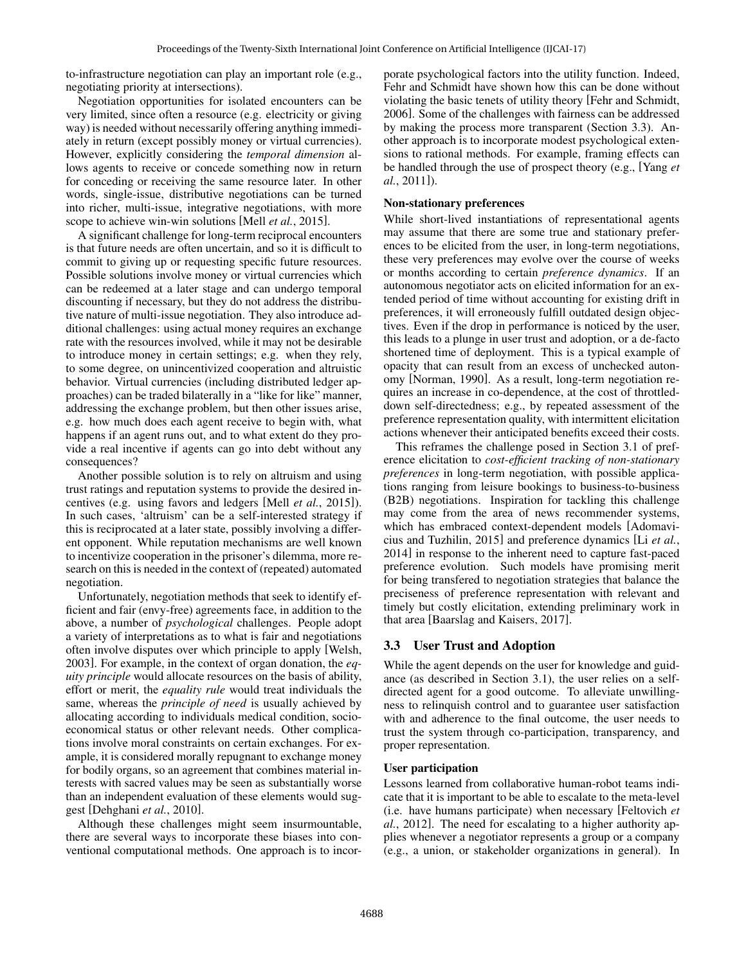to-infrastructure negotiation can play an important role (e.g., negotiating priority at intersections).

Negotiation opportunities for isolated encounters can be very limited, since often a resource (e.g. electricity or giving way) is needed without necessarily offering anything immediately in return (except possibly money or virtual currencies). However, explicitly considering the *temporal dimension* allows agents to receive or concede something now in return for conceding or receiving the same resource later. In other words, single-issue, distributive negotiations can be turned into richer, multi-issue, integrative negotiations, with more scope to achieve win-win solutions [Mell *et al.*, 2015].

A significant challenge for long-term reciprocal encounters is that future needs are often uncertain, and so it is difficult to commit to giving up or requesting specific future resources. Possible solutions involve money or virtual currencies which can be redeemed at a later stage and can undergo temporal discounting if necessary, but they do not address the distributive nature of multi-issue negotiation. They also introduce additional challenges: using actual money requires an exchange rate with the resources involved, while it may not be desirable to introduce money in certain settings; e.g. when they rely, to some degree, on unincentivized cooperation and altruistic behavior. Virtual currencies (including distributed ledger approaches) can be traded bilaterally in a "like for like" manner, addressing the exchange problem, but then other issues arise, e.g. how much does each agent receive to begin with, what happens if an agent runs out, and to what extent do they provide a real incentive if agents can go into debt without any consequences?

Another possible solution is to rely on altruism and using trust ratings and reputation systems to provide the desired incentives (e.g. using favors and ledgers [Mell *et al.*, 2015]). In such cases, 'altruism' can be a self-interested strategy if this is reciprocated at a later state, possibly involving a different opponent. While reputation mechanisms are well known to incentivize cooperation in the prisoner's dilemma, more research on this is needed in the context of (repeated) automated negotiation.

Unfortunately, negotiation methods that seek to identify efficient and fair (envy-free) agreements face, in addition to the above, a number of *psychological* challenges. People adopt a variety of interpretations as to what is fair and negotiations often involve disputes over which principle to apply [Welsh, 2003]. For example, in the context of organ donation, the *equity principle* would allocate resources on the basis of ability, effort or merit, the *equality rule* would treat individuals the same, whereas the *principle of need* is usually achieved by allocating according to individuals medical condition, socioeconomical status or other relevant needs. Other complications involve moral constraints on certain exchanges. For example, it is considered morally repugnant to exchange money for bodily organs, so an agreement that combines material interests with sacred values may be seen as substantially worse than an independent evaluation of these elements would suggest [Dehghani *et al.*, 2010].

Although these challenges might seem insurmountable, there are several ways to incorporate these biases into conventional computational methods. One approach is to incorporate psychological factors into the utility function. Indeed, Fehr and Schmidt have shown how this can be done without violating the basic tenets of utility theory [Fehr and Schmidt, 2006]. Some of the challenges with fairness can be addressed by making the process more transparent (Section 3.3). Another approach is to incorporate modest psychological extensions to rational methods. For example, framing effects can be handled through the use of prospect theory (e.g., [Yang *et al.*, 2011]).

#### Non-stationary preferences

While short-lived instantiations of representational agents may assume that there are some true and stationary preferences to be elicited from the user, in long-term negotiations, these very preferences may evolve over the course of weeks or months according to certain *preference dynamics*. If an autonomous negotiator acts on elicited information for an extended period of time without accounting for existing drift in preferences, it will erroneously fulfill outdated design objectives. Even if the drop in performance is noticed by the user, this leads to a plunge in user trust and adoption, or a de-facto shortened time of deployment. This is a typical example of opacity that can result from an excess of unchecked autonomy [Norman, 1990]. As a result, long-term negotiation requires an increase in co-dependence, at the cost of throttleddown self-directedness; e.g., by repeated assessment of the preference representation quality, with intermittent elicitation actions whenever their anticipated benefits exceed their costs.

This reframes the challenge posed in Section 3.1 of preference elicitation to *cost-efficient tracking of non-stationary preferences* in long-term negotiation, with possible applications ranging from leisure bookings to business-to-business (B2B) negotiations. Inspiration for tackling this challenge may come from the area of news recommender systems, which has embraced context-dependent models [Adomavicius and Tuzhilin, 2015] and preference dynamics [Li *et al.*, 2014] in response to the inherent need to capture fast-paced preference evolution. Such models have promising merit for being transfered to negotiation strategies that balance the preciseness of preference representation with relevant and timely but costly elicitation, extending preliminary work in that area [Baarslag and Kaisers, 2017].

### 3.3 User Trust and Adoption

While the agent depends on the user for knowledge and guidance (as described in Section 3.1), the user relies on a selfdirected agent for a good outcome. To alleviate unwillingness to relinquish control and to guarantee user satisfaction with and adherence to the final outcome, the user needs to trust the system through co-participation, transparency, and proper representation.

#### User participation

Lessons learned from collaborative human-robot teams indicate that it is important to be able to escalate to the meta-level (i.e. have humans participate) when necessary [Feltovich *et al.*, 2012]. The need for escalating to a higher authority applies whenever a negotiator represents a group or a company (e.g., a union, or stakeholder organizations in general). In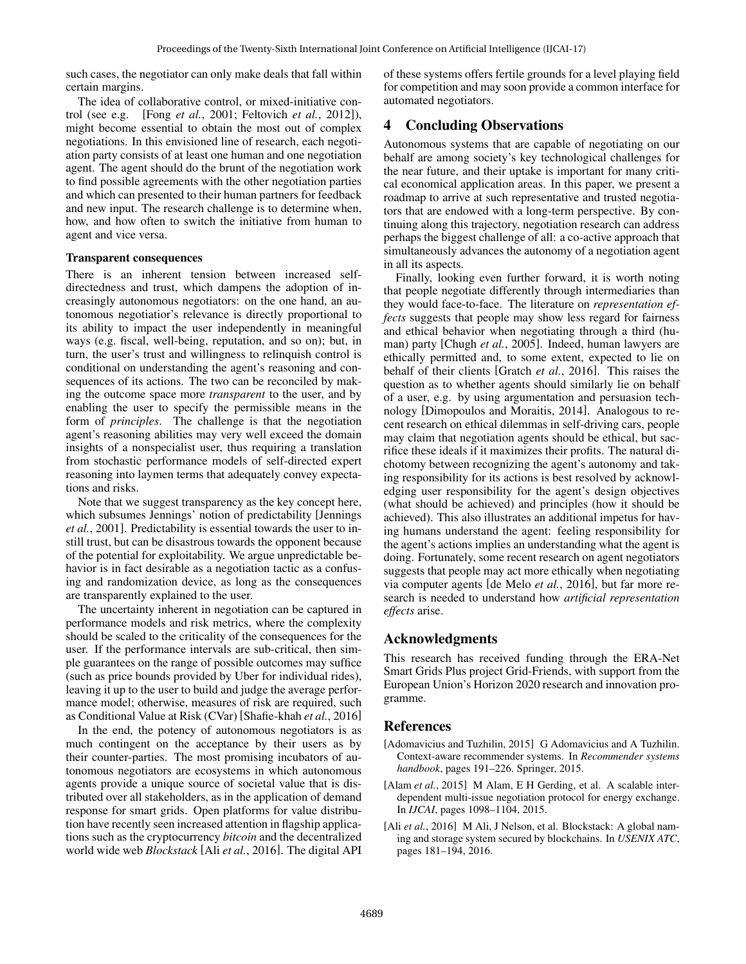such cases, the negotiator can only make deals that fall within certain margins.

The idea of collaborative control, or mixed-initiative control (see e.g. [Fong *et al.*, 2001; Feltovich *et al.*, 2012]), might become essential to obtain the most out of complex negotiations. In this envisioned line of research, each negotiation party consists of at least one human and one negotiation agent. The agent should do the brunt of the negotiation work to find possible agreements with the other negotiation parties and which can presented to their human partners for feedback and new input. The research challenge is to determine when, how, and how often to switch the initiative from human to agent and vice versa.

#### Transparent consequences

There is an inherent tension between increased selfdirectedness and trust, which dampens the adoption of increasingly autonomous negotiators: on the one hand, an autonomous negotiatior's relevance is directly proportional to its ability to impact the user independently in meaningful ways (e.g. fiscal, well-being, reputation, and so on); but, in turn, the user's trust and willingness to relinquish control is conditional on understanding the agent's reasoning and consequences of its actions. The two can be reconciled by making the outcome space more *transparent* to the user, and by enabling the user to specify the permissible means in the form of *principles*. The challenge is that the negotiation agent's reasoning abilities may very well exceed the domain insights of a nonspecialist user, thus requiring a translation from stochastic performance models of self-directed expert reasoning into laymen terms that adequately convey expectations and risks.

Note that we suggest transparency as the key concept here, which subsumes Jennings' notion of predictability [Jennings *et al.*, 2001]. Predictability is essential towards the user to instill trust, but can be disastrous towards the opponent because of the potential for exploitability. We argue unpredictable behavior is in fact desirable as a negotiation tactic as a confusing and randomization device, as long as the consequences are transparently explained to the user.

The uncertainty inherent in negotiation can be captured in performance models and risk metrics, where the complexity should be scaled to the criticality of the consequences for the user. If the performance intervals are sub-critical, then simple guarantees on the range of possible outcomes may suffice (such as price bounds provided by Uber for individual rides), leaving it up to the user to build and judge the average performance model; otherwise, measures of risk are required, such as Conditional Value at Risk (CVar) [Shafie-khah *et al.*, 2016]

In the end, the potency of autonomous negotiators is as much contingent on the acceptance by their users as by their counter-parties. The most promising incubators of autonomous negotiators are ecosystems in which autonomous agents provide a unique source of societal value that is distributed over all stakeholders, as in the application of demand response for smart grids. Open platforms for value distribution have recently seen increased attention in flagship applications such as the cryptocurrency *bitcoin* and the decentralized world wide web *Blockstack* [Ali *et al.*, 2016]. The digital API of these systems offers fertile grounds for a level playing field for competition and may soon provide a common interface for automated negotiators.

### 4 Concluding Observations

Autonomous systems that are capable of negotiating on our behalf are among society's key technological challenges for the near future, and their uptake is important for many critical economical application areas. In this paper, we present a roadmap to arrive at such representative and trusted negotiators that are endowed with a long-term perspective. By continuing along this trajectory, negotiation research can address perhaps the biggest challenge of all: a co-active approach that simultaneously advances the autonomy of a negotiation agent in all its aspects.

Finally, looking even further forward, it is worth noting that people negotiate differently through intermediaries than they would face-to-face. The literature on *representation effects* suggests that people may show less regard for fairness and ethical behavior when negotiating through a third (human) party [Chugh *et al.*, 2005]. Indeed, human lawyers are ethically permitted and, to some extent, expected to lie on behalf of their clients [Gratch *et al.*, 2016]. This raises the question as to whether agents should similarly lie on behalf of a user, e.g. by using argumentation and persuasion technology [Dimopoulos and Moraitis, 2014]. Analogous to recent research on ethical dilemmas in self-driving cars, people may claim that negotiation agents should be ethical, but sacrifice these ideals if it maximizes their profits. The natural dichotomy between recognizing the agent's autonomy and taking responsibility for its actions is best resolved by acknowledging user responsibility for the agent's design objectives (what should be achieved) and principles (how it should be achieved). This also illustrates an additional impetus for having humans understand the agent: feeling responsibility for the agent's actions implies an understanding what the agent is doing. Fortunately, some recent research on agent negotiators suggests that people may act more ethically when negotiating via computer agents [de Melo *et al.*, 2016], but far more research is needed to understand how *artificial representation effects* arise.

### Acknowledgments

This research has received funding through the ERA-Net Smart Grids Plus project Grid-Friends, with support from the European Union's Horizon 2020 research and innovation programme.

### References

- [Adomavicius and Tuzhilin, 2015] G Adomavicius and A Tuzhilin. Context-aware recommender systems. In *Recommender systems handbook*, pages 191–226. Springer, 2015.
- [Alam *et al.*, 2015] M Alam, E H Gerding, et al. A scalable interdependent multi-issue negotiation protocol for energy exchange. In *IJCAI*, pages 1098–1104, 2015.
- [Ali *et al.*, 2016] M Ali, J Nelson, et al. Blockstack: A global naming and storage system secured by blockchains. In *USENIX ATC*, pages 181–194, 2016.